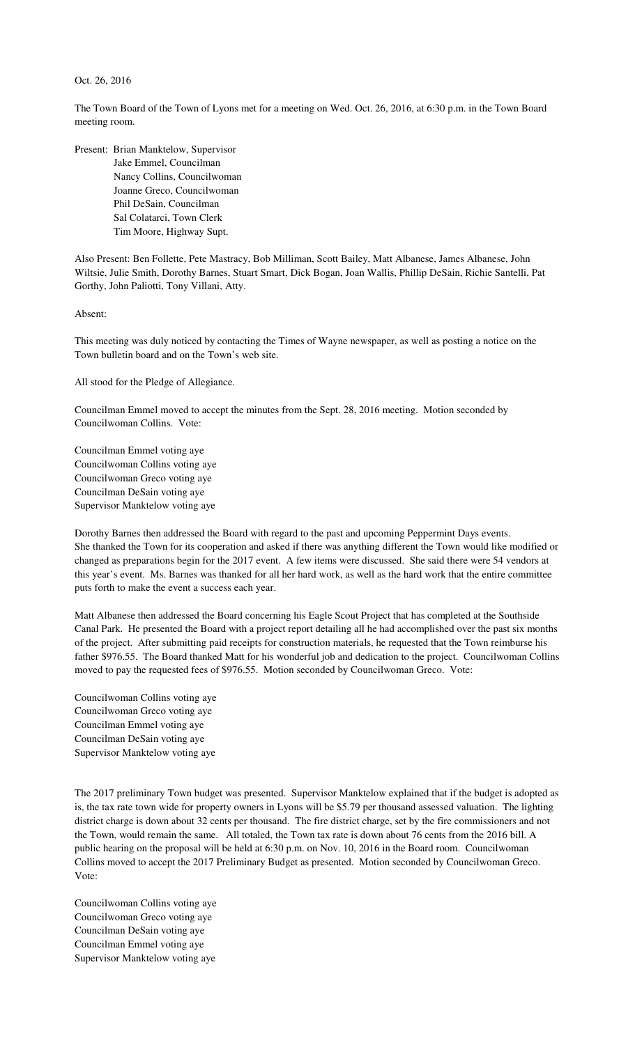## Oct. 26, 2016

The Town Board of the Town of Lyons met for a meeting on Wed. Oct. 26, 2016, at 6:30 p.m. in the Town Board meeting room.

Present: Brian Manktelow, Supervisor Jake Emmel, Councilman Nancy Collins, Councilwoman Joanne Greco, Councilwoman Phil DeSain, Councilman Sal Colatarci, Town Clerk Tim Moore, Highway Supt.

Also Present: Ben Follette, Pete Mastracy, Bob Milliman, Scott Bailey, Matt Albanese, James Albanese, John Wiltsie, Julie Smith, Dorothy Barnes, Stuart Smart, Dick Bogan, Joan Wallis, Phillip DeSain, Richie Santelli, Pat Gorthy, John Paliotti, Tony Villani, Atty.

Absent:

This meeting was duly noticed by contacting the Times of Wayne newspaper, as well as posting a notice on the Town bulletin board and on the Town's web site.

All stood for the Pledge of Allegiance.

Councilman Emmel moved to accept the minutes from the Sept. 28, 2016 meeting. Motion seconded by Councilwoman Collins. Vote:

Councilman Emmel voting aye Councilwoman Collins voting aye Councilwoman Greco voting aye Councilman DeSain voting aye Supervisor Manktelow voting aye

Dorothy Barnes then addressed the Board with regard to the past and upcoming Peppermint Days events. She thanked the Town for its cooperation and asked if there was anything different the Town would like modified or changed as preparations begin for the 2017 event. A few items were discussed. She said there were 54 vendors at this year's event. Ms. Barnes was thanked for all her hard work, as well as the hard work that the entire committee puts forth to make the event a success each year.

Matt Albanese then addressed the Board concerning his Eagle Scout Project that has completed at the Southside Canal Park. He presented the Board with a project report detailing all he had accomplished over the past six months of the project. After submitting paid receipts for construction materials, he requested that the Town reimburse his father \$976.55. The Board thanked Matt for his wonderful job and dedication to the project. Councilwoman Collins moved to pay the requested fees of \$976.55. Motion seconded by Councilwoman Greco. Vote:

Councilwoman Collins voting aye Councilwoman Greco voting aye Councilman Emmel voting aye Councilman DeSain voting aye Supervisor Manktelow voting aye

The 2017 preliminary Town budget was presented. Supervisor Manktelow explained that if the budget is adopted as is, the tax rate town wide for property owners in Lyons will be \$5.79 per thousand assessed valuation. The lighting district charge is down about 32 cents per thousand. The fire district charge, set by the fire commissioners and not the Town, would remain the same. All totaled, the Town tax rate is down about 76 cents from the 2016 bill. A public hearing on the proposal will be held at 6:30 p.m. on Nov. 10, 2016 in the Board room. Councilwoman Collins moved to accept the 2017 Preliminary Budget as presented. Motion seconded by Councilwoman Greco. Vote:

Councilwoman Collins voting aye Councilwoman Greco voting aye Councilman DeSain voting aye Councilman Emmel voting aye Supervisor Manktelow voting aye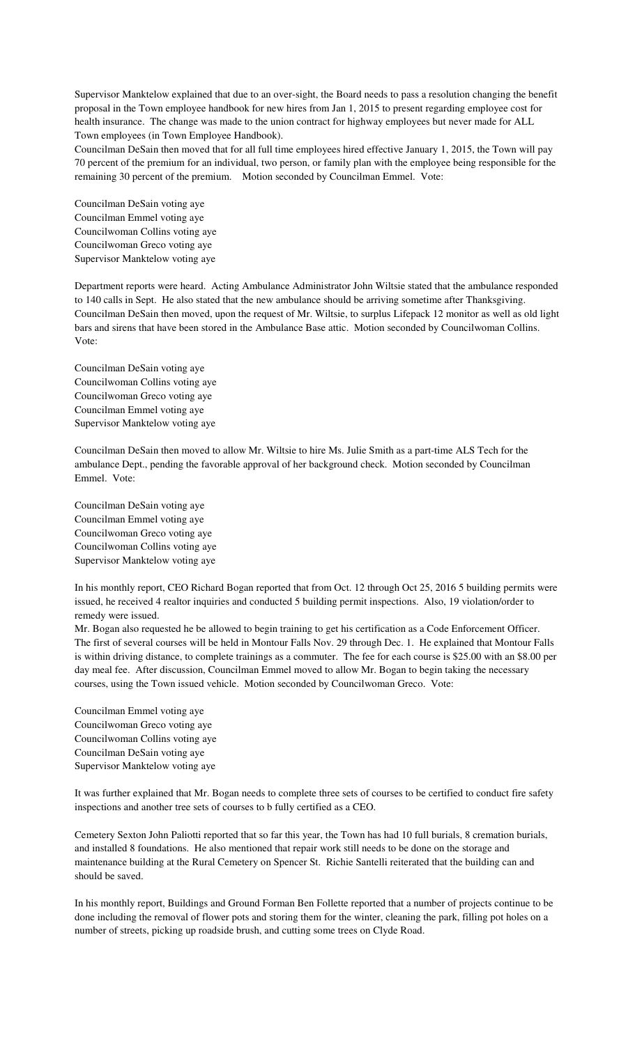Supervisor Manktelow explained that due to an over-sight, the Board needs to pass a resolution changing the benefit proposal in the Town employee handbook for new hires from Jan 1, 2015 to present regarding employee cost for health insurance. The change was made to the union contract for highway employees but never made for ALL Town employees (in Town Employee Handbook).

Councilman DeSain then moved that for all full time employees hired effective January 1, 2015, the Town will pay 70 percent of the premium for an individual, two person, or family plan with the employee being responsible for the remaining 30 percent of the premium. Motion seconded by Councilman Emmel. Vote:

Councilman DeSain voting aye Councilman Emmel voting aye Councilwoman Collins voting aye Councilwoman Greco voting aye Supervisor Manktelow voting aye

Department reports were heard. Acting Ambulance Administrator John Wiltsie stated that the ambulance responded to 140 calls in Sept. He also stated that the new ambulance should be arriving sometime after Thanksgiving. Councilman DeSain then moved, upon the request of Mr. Wiltsie, to surplus Lifepack 12 monitor as well as old light bars and sirens that have been stored in the Ambulance Base attic. Motion seconded by Councilwoman Collins. Vote:

Councilman DeSain voting aye Councilwoman Collins voting aye Councilwoman Greco voting aye Councilman Emmel voting aye Supervisor Manktelow voting aye

Councilman DeSain then moved to allow Mr. Wiltsie to hire Ms. Julie Smith as a part-time ALS Tech for the ambulance Dept., pending the favorable approval of her background check. Motion seconded by Councilman Emmel. Vote:

Councilman DeSain voting aye Councilman Emmel voting aye Councilwoman Greco voting aye Councilwoman Collins voting aye Supervisor Manktelow voting aye

In his monthly report, CEO Richard Bogan reported that from Oct. 12 through Oct 25, 2016 5 building permits were issued, he received 4 realtor inquiries and conducted 5 building permit inspections. Also, 19 violation/order to remedy were issued.

Mr. Bogan also requested he be allowed to begin training to get his certification as a Code Enforcement Officer. The first of several courses will be held in Montour Falls Nov. 29 through Dec. 1. He explained that Montour Falls is within driving distance, to complete trainings as a commuter. The fee for each course is \$25.00 with an \$8.00 per day meal fee. After discussion, Councilman Emmel moved to allow Mr. Bogan to begin taking the necessary courses, using the Town issued vehicle. Motion seconded by Councilwoman Greco. Vote:

Councilman Emmel voting aye Councilwoman Greco voting aye Councilwoman Collins voting aye Councilman DeSain voting aye Supervisor Manktelow voting aye

It was further explained that Mr. Bogan needs to complete three sets of courses to be certified to conduct fire safety inspections and another tree sets of courses to b fully certified as a CEO.

Cemetery Sexton John Paliotti reported that so far this year, the Town has had 10 full burials, 8 cremation burials, and installed 8 foundations. He also mentioned that repair work still needs to be done on the storage and maintenance building at the Rural Cemetery on Spencer St. Richie Santelli reiterated that the building can and should be saved.

In his monthly report, Buildings and Ground Forman Ben Follette reported that a number of projects continue to be done including the removal of flower pots and storing them for the winter, cleaning the park, filling pot holes on a number of streets, picking up roadside brush, and cutting some trees on Clyde Road.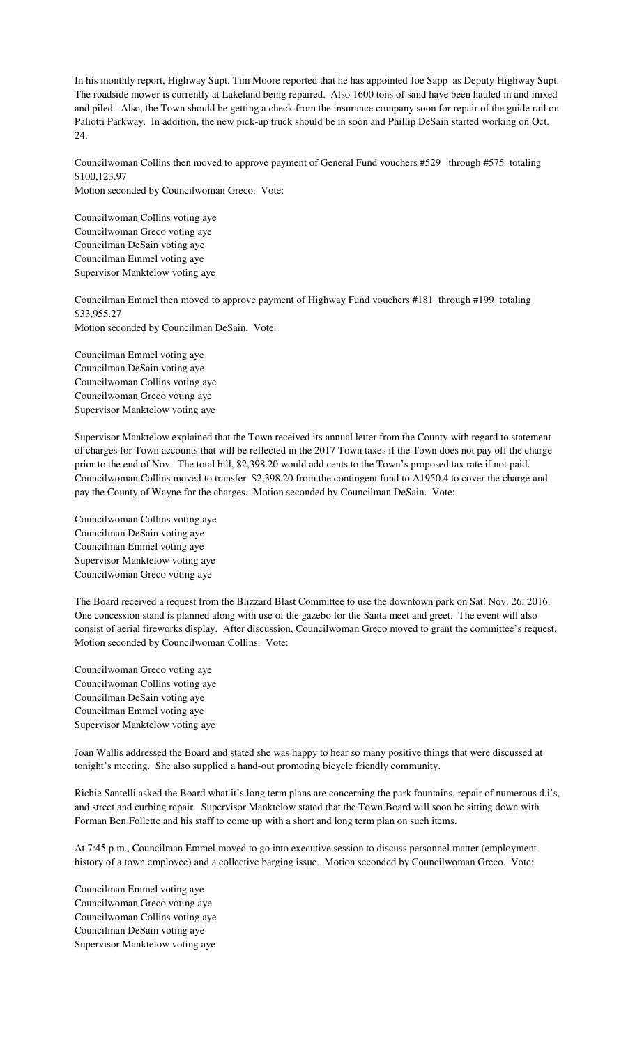In his monthly report, Highway Supt. Tim Moore reported that he has appointed Joe Sapp as Deputy Highway Supt. The roadside mower is currently at Lakeland being repaired. Also 1600 tons of sand have been hauled in and mixed and piled. Also, the Town should be getting a check from the insurance company soon for repair of the guide rail on Paliotti Parkway. In addition, the new pick-up truck should be in soon and Phillip DeSain started working on Oct. 24.

Councilwoman Collins then moved to approve payment of General Fund vouchers #529 through #575 totaling \$100,123.97 Motion seconded by Councilwoman Greco. Vote:

Councilwoman Collins voting aye Councilwoman Greco voting aye Councilman DeSain voting aye Councilman Emmel voting aye Supervisor Manktelow voting aye

Councilman Emmel then moved to approve payment of Highway Fund vouchers #181 through #199 totaling \$33,955.27 Motion seconded by Councilman DeSain. Vote:

Councilman Emmel voting aye Councilman DeSain voting aye Councilwoman Collins voting aye Councilwoman Greco voting aye Supervisor Manktelow voting aye

Supervisor Manktelow explained that the Town received its annual letter from the County with regard to statement of charges for Town accounts that will be reflected in the 2017 Town taxes if the Town does not pay off the charge prior to the end of Nov. The total bill, \$2,398.20 would add cents to the Town's proposed tax rate if not paid. Councilwoman Collins moved to transfer \$2,398.20 from the contingent fund to A1950.4 to cover the charge and pay the County of Wayne for the charges. Motion seconded by Councilman DeSain. Vote:

Councilwoman Collins voting aye Councilman DeSain voting aye Councilman Emmel voting aye Supervisor Manktelow voting aye Councilwoman Greco voting aye

The Board received a request from the Blizzard Blast Committee to use the downtown park on Sat. Nov. 26, 2016. One concession stand is planned along with use of the gazebo for the Santa meet and greet. The event will also consist of aerial fireworks display. After discussion, Councilwoman Greco moved to grant the committee's request. Motion seconded by Councilwoman Collins. Vote:

Councilwoman Greco voting aye Councilwoman Collins voting aye Councilman DeSain voting aye Councilman Emmel voting aye Supervisor Manktelow voting aye

Joan Wallis addressed the Board and stated she was happy to hear so many positive things that were discussed at tonight's meeting. She also supplied a hand-out promoting bicycle friendly community.

Richie Santelli asked the Board what it's long term plans are concerning the park fountains, repair of numerous d.i's, and street and curbing repair. Supervisor Manktelow stated that the Town Board will soon be sitting down with Forman Ben Follette and his staff to come up with a short and long term plan on such items.

At 7:45 p.m., Councilman Emmel moved to go into executive session to discuss personnel matter (employment history of a town employee) and a collective barging issue. Motion seconded by Councilwoman Greco. Vote:

Councilman Emmel voting aye Councilwoman Greco voting aye Councilwoman Collins voting aye Councilman DeSain voting aye Supervisor Manktelow voting aye